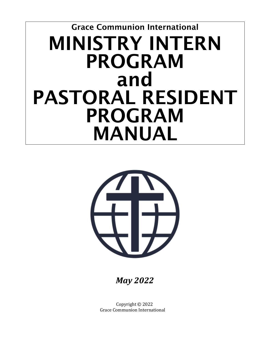# Grace Communion International MINISTRY INTERN PROGRAM and PASTORAL RESIDENT PROGRAM MANUAL



*May 2022*

Copyright © 2022 Grace Communion International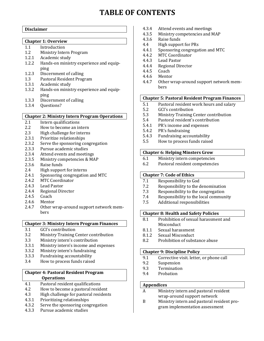# **TABLE OF CONTENTS**

#### **Disclaimer**

#### **Chapter 1: Overview**

- 1.1 Introduction<br>1.2 Ministry Inter
- 1.2 Ministry Intern Program<br>1.2.1 Academic study
- 1.2.1 Academic study<br>1.2.2 Hands-on minist
- Hands-on ministry experience and equipping
- 1.2.3 Discernment of calling<br>1.3 Pastoral Resident Prog
- 1.3 Pastoral Resident Program<br>1.3.1 Academic study
- 1.3.1 Academic study<br>1.3.2 Hands-on minist
- Hands-on ministry experience and equipping
- 1.3.3 Discernment of calling<br>1.3.4 Ouestions?
- 0uestions?

#### **Chapter 2: Ministry Intern Program Operations**

- 2.1 Intern qualifications<br>2.2 How to become an in
- 2.2 How to become an intern<br>2.3 High challenge for interns
- 2.3 High challenge for interns<br>2.3.1 Prioritize relationships
- 2.3.1 Prioritize relationships<br>2.3.2 Serve the sponsoring co
- 2.3.2 Serve the sponsoring congregation<br>2.3.3 Pursue academic studies
- 2.3.3 Pursue academic studies<br>2.3.4 Attend events and meetir
- 2.3.4 Attend events and meetings<br>2.3.5 Ministry competencies & MA
- 2.3.5 Ministry competencies & MAP<br>2.3.6 Raise funds
- 2.3.6 Raise funds<br>2.4 High suppor
- 2.4 High support for interns<br>2.4.1 Sponsoring congregation
- 2.4.1 Sponsoring congregation and MTC<br>2.4.2 MTC Coordinator
- 2.4.2 MTC Coordinator<br>2.4.3 Lead Pastor
- 2.4.3 Lead Pastor<br>2.4.4 Regional Dir
- 2.4.4 Regional Director<br>2.4.5 Coach
- 2.4.5 Coach<br>2.4.6 Mento
- 2.4.6 Mentor<br>2.4.7 Other w
- Other wrap-around support network members

#### **Chapter 3: Ministry Intern Program Finances**

- 3.1 GCI's contribution<br>3.2 Ministry Training (
- 3.2 Ministry Training Center contribution<br>3.3 Ministry intern's contribution
- 3.3 Ministry intern's contribution<br>3.3.1 Ministry intern's income and e
- 3.3.1 Ministry intern's income and expenses<br>3.3.2 Ministry intern's fundraising
- 3.3.2 Ministry intern's fundraising<br>3.3.3 Fundraising accountability
- 3.3.3 Fundraising accountability<br>3.4 How to process funds raised
- How to process funds raised

#### **Chapter 4: Pastoral Resident Program Operations**

- 4.1 Pastoral resident qualifications<br>4.2 How to become a nastoral resident
- 4.2 How to become a pastoral resident<br>4.3 High challenge for pastoral resident
- 4.3 High challenge for pastoral residents<br>4.3.1 Prioritizing relationships
- 4.3.1 Prioritizing relationships<br>4.3.2 Serve the sponsoring cong
- 4.3.2 Serve the sponsoring congregation<br>4.3.3 Pursue academic studies
- Pursue academic studies
- 4.3.4 Attend events and meetings<br>4.3.5 Ministry competencies and N
- 4.3.5 Ministry competencies and MAP<br>4.3.6 Raise funds
- 4.3.6 Raise funds<br>4.4 High support
- 4.4 High support for PRs<br>4.4.1 Sponsoring congregat
- 4.4.1 Sponsoring congregation and MTC<br>4.4.2 MTC Coordinator
- 4.4.2 MTC Coordinator<br>4.4.3 Lead Pastor
- 4.4.3 Lead Pastor<br>4.4.4 Regional Dir
- 4.4.4 Regional Director<br>4.4.5 Coach
- 4.4.5 Coach<br>4.4.6 Mento
- 4.4.6 Mentor<br>4.4.7 Other w
- Other wrap-around support network members

#### **Chapter 5: Pastoral Resident Program Finances**

- 5.1 Pastoral resident work hours and salary<br>5.2 GCI's contribution
- 5.2 GCI's contribution<br>5.3 Ministry Training (
- 5.3 Ministry Training Center contribution<br>5.4 Pastoral resident's contribution
- 5.4 Pastoral resident's contribution<br>5.4.1 PR's income and expenses
- 5.4.1 PR's income and expenses<br>5.4.2 PR's fundraising
- 5.4.2 PR's fundraising<br>5.4.3 Fundraising acco
- 5.4.3 Fundraising accountability<br>5.5 How to process funds raise
- 5.5 How to process funds raised

#### **Chapter 6: Helping Minsters Grow**

- 6.1 Ministry intern competencies<br>6.2 Pastoral resident competencie
- Pastoral resident competencies

#### **Chapter 7: Code of Ethics**

- 7.1 Responsibility to God<br>7.2 Responsibility to the c
- 7.2 Responsibility to the denomination<br>7.3 Responsibility to the congregation
- 7.3 Responsibility to the congregation<br>7.4 Responsibility to the local commun
- 7.4 Responsibility to the local community<br>7.5 Additional responsibilities
- Additional responsibilities

#### **Chapter 8: Health and Safety Policies**

- 8.1 Prohibition of sexual harassment and Misconduct<br>8.1.1 Sexual haras
- 8.1.1 Sexual harassment<br>8.1.2 Sexual Misconduct
- 8.1.2 Sexual Misconduct<br>8.2 Prohibition of subs
- Prohibition of substance abuse

#### **Chapter 9: Discipline Policy**

- 9.1 Corrective visit. letter, or phone call<br>9.2 Suspension
- 9.2 Suspension<br>9.3 Termination
- 9.3 Termination<br>9.4 Probation
- **Probation**

#### **Appendices**

- A Ministry intern and pastoral resident wrap-around support network
- B Ministry intern and pastoral resident program implementation assessment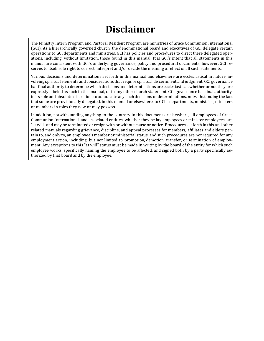# **Disclaimer**

The Ministry Intern Program and Pastoral Resident Program are ministries of Grace Communion International (GCI). As a hierarchically governed church, the denominational board and executives of GCI delegate certain operations to GCI departments and ministries. GCI has policies and procedures to direct these delegated operations, including, without limitation, those found in this manual. It is GCI's intent that all statements in this manual are consistent with GCI's underlying governance, policy and procedural documents; however, GCI reserves to itself sole right to correct, interpret and/or decide the meaning or effect of all such statements.

Various decisions and determinations set forth in this manual and elsewhere are ecclesiastical in nature, involving spiritual elements and considerations that require spiritual discernment and judgment. GCI governance has final authority to determine which decisions and determinations are ecclesiastical, whether or not they are expressly labeled as such in this manual, or in any other church statement. GCI governance has final authority, in its sole and absolute discretion, to adjudicate any such decisions or determinations, notwithstanding the fact that some are provisionally delegated, in this manual or elsewhere, to GCI's departments, ministries, ministers or members in roles they now or may possess.

In addition, notwithstanding anything to the contrary in this document or elsewhere, all employees of Grace Communion International, and associated entities, whether they be lay employees or minister employees, are "at will" and may be terminated or resign with or without cause or notice. Procedures set forth in this and other related manuals regarding grievance, discipline, and appeal processes for members, affiliates and elders pertain to, and only to, an employee's member or ministerial status, and such procedures are not required for any employment action, including, but not limited to, promotion, demotion, transfer, or termination of employment. Any exceptions to this "at will" status must be made in writing by the board of the entity for which such employee works, specifically naming the employee to be affected, and signed both by a party specifically authorized by that board and by the employee.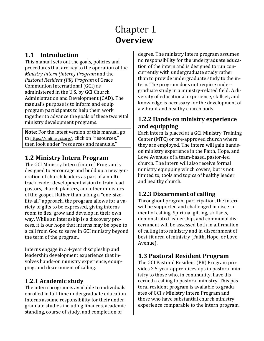# Chapter 1 **Overview**

# **1.1 Introduction**

This manual sets out the goals, policies and procedures that are key to the operation of the *Ministry Intern (intern) Program* and the *Pastoral Resident (PR) Program* of Grace Communion International (GCI) as administered in the U.S. by GCI Church Administration and Development (CAD). The manual's purpose is to inform and equip program participants to help them work together to advance the goals of these two vital ministry development programs.

**Note**: For the latest version of this manual, go t[o https://online.gci.org/,](https://online.gci.org/) click on "resources," then look under "resources and manuals."

# **1.2 Ministry Intern Program**

The GCI Ministry Intern (intern) Program is designed to encourage and build up a new generation of church leaders as part of a multitrack leader development vision to train lead pastors, church planters, and other ministers of the gospel. Rather than taking a "one-sizefits-all" approach, the program allows for a variety of gifts to be expressed, giving interns room to flex, grow and develop in their own way. While an internship is a discovery process, it is our hope that interns may be open to a call from God to serve in GCI ministry beyond the term of the program.

Interns engage in a 4-year discipleship and leadership development experience that involves hands-on ministry experience, equipping, and discernment of calling.

## **1.2.1 Academic study**

The intern program is available to individuals enrolled in full-time undergraduate education. Interns assume responsibility for their undergraduate studies including finances, academic standing, course of study, and completion of

degree. The ministry intern program assumes no responsibility for the undergraduate education of the intern and is designed to run concurrently with undergraduate study rather than to provide undergraduate study to the intern. The program does not require undergraduate study in a ministry-related field. A diversity of educational experience, skillset, and knowledge is necessary for the development of a vibrant and healthy church body.

### **1.2.2 Hands-on ministry experience and equipping**

Each intern is placed at a GCI Ministry Training Center (MTC) or pre-approved church where they are employed. The intern will gain handson ministry experience in the Faith, Hope, and Love Avenues of a team-based, pastor-led church. The intern will also receive formal ministry equipping which covers, but is not limited to, tools and topics of healthy leader and healthy church.

# **1.2.3 Discernment of calling**

Throughout program participation, the intern will be supported and challenged in discernment of calling. Spiritual gifting, skillsets, demonstrated leadership, and communal discernment will be assessed both in affirmation of calling into ministry and in discernment of best-fit area of ministry (Faith, Hope, or Love Avenue).

# **1.3 Pastoral Resident Program**

The GCI Pastoral Resident (PR) Program provides 2.5-year apprenticeships in pastoral ministry to those who, in community, have discerned a calling to pastoral ministry. This pastoral resident program is available to graduates of GCI's Ministry Intern Program and those who have substantial church ministry experience comparable to the intern program.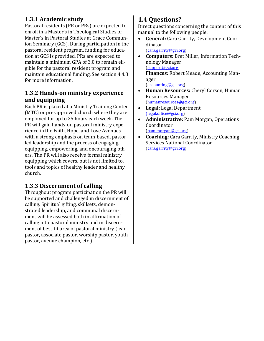### **1.3.1 Academic study**

Pastoral residents (PR or PRs) are expected to enroll in a Master's in Theological Studies or Master's in Pastoral Studies at Grace Communion Seminary (GCS). During participation in the pastoral resident program, funding for education at GCS is provided. PRs are expected to maintain a minimum GPA of 3.0 to remain eligible for the pastoral resident program and maintain educational funding. See section 4.4.3 for more information.

#### **1.3.2 Hands-on ministry experience and equipping**

Each PR is placed at a Ministry Training Center (MTC) or pre-approved church where they are employed for up to 25 hours each week. The PR will gain hands-on pastoral ministry experience in the Faith, Hope, and Love Avenues with a strong emphasis on team-based, pastorled leadership and the process of engaging, equipping, empowering, and encouraging others. The PR will also receive formal ministry equipping which covers, but is not limited to, tools and topics of healthy leader and healthy church.

### **1.3.3 Discernment of calling**

Throughout program participation the PR will be supported and challenged in discernment of calling. Spiritual gifting, skillsets, demonstrated leadership, and communal discernment will be assessed both in affirmation of calling into pastoral ministry and in discernment of best-fit area of pastoral ministry (lead pastor, associate pastor, worship pastor, youth pastor, avenue champion, etc.)

# **1.4 Questions?**

Direct questions concerning the content of this manual to the following people:<br>• **General:** Cara Garrity, Devel

- **General:** Cara Garrity, Development Coordinator [\(cara.garrity@gci.org\)](mailto:cara.garrity@gci.org)
- **Computers:** Bret Miller, Information Technology Manager [\(support@gci.org\)](mailto:support@gci.org) **Finances**: Robert Meade, Accounting Manager

[\(accounting@gci.org\)](mailto:accounting@gci.org)

- **Human Resources:** Cheryl Corson, Human Resources Manager [\(humanresources@gci.org\)](mailto:humanresources@gci.org)
- **Legal:** Legal Department [\(legal.office@gci.org\)](mailto:(legal.office@gci.org)
- **Administrative:** Pam Morgan, Operations Coordinator [\(pam.morgan@gci.org\)](mailto:pam.morgan@gci.org)
- **Coaching:** Cara Garrity, Ministry Coaching Services National Coordinator [\(cara.garrity@gci.org\)](mailto:anthony.mullins@gci.org)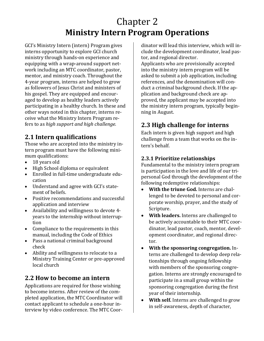# Chapter 2 **Ministry Intern Program Operations**

GCI's Ministry Intern (intern) Program gives interns opportunity to explore GCI church ministry through hands-on experience and equipping with a wrap-around support network including an MTC coordinator, pastor, mentor, and ministry coach. Throughout the 4-year program, interns are helped to grow as followers of Jesus Christ and ministers of his gospel. They are equipped and encouraged to develop as healthy leaders actively participating in a healthy church. In these and other ways noted in this chapter, interns receive what the Ministry Intern Program refers to as *high support and high challenge.*

# **2.1 Intern qualifications**

Those who are accepted into the ministry intern program must have the following minimum qualifications:<br>• 18 years old

- 18 years old
- High School diploma or equivalent
- Enrolled in full-time undergraduate education
- Understand and agree with GCI's statement of beliefs.
- Positive recommendations and successful application and interview
- Availability and willingness to devote 4 years to the internship without interruption
- Compliance to the requirements in this manual, including the Code of Ethics
- Pass a national criminal background check
- Ability and willingness to relocate to a Ministry Training Center or pre-approved local church

# **2.2 How to become an intern**

Applications are required for those wishing to become interns. After review of the completed application, the MTC Coordinator will contact applicant to schedule a one-hour interview by video conference. The MTC Coordinator will lead this interview, which will include the development coordinator, lead pastor, and regional director.

Applicants who are provisionally accepted into the ministry intern program will be asked to submit a job application, including references, and the denomination will conduct a criminal background check. If the application and background check are approved, the applicant may be accepted into the ministry intern program, typically beginning in August.

# **2.3 High challenge for interns**

Each intern is given high support and high challenge from a team that works on the intern's behalf.

#### **2.3.1 Prioritize relationships**

Fundamental to the ministry intern program is participation in the love and life of our tripersonal God through the development of the following redemptive relationships:

- **With the triune God.** Interns are challenged to be devoted to personal and corporate worship, prayer, and the study of Scripture.
- **With leaders.** Interns are challenged to be actively accountable to their MTC coordinator, lead pastor, coach, mentor, development coordinator, and regional director.
- **With the sponsoring congregation.** Interns are challenged to develop deep relationships through ongoing fellowship with members of the sponsoring congregation. Interns are strongly encouraged to participate in a small group within the sponsoring congregation during the first year of their internship.
- **With self.** Interns are challenged to grow in self-awareness, depth of character,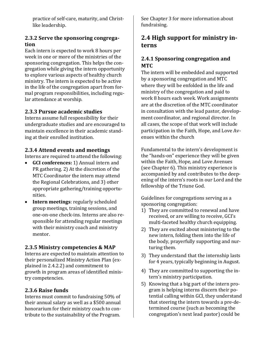practice of self-care, maturity, and Christlike leadership.

#### **2.3.2 Serve the sponsoring congregation**

Each intern is expected to work 8 hours per week in one or more of the ministries of the sponsoring congregation. This helps the congregation while giving the intern opportunity to explore various aspects of healthy church ministry. The intern is expected to be active in the life of the congregation apart from formal program responsibilities, including regular attendance at worship.

#### **2.3.3 Pursue academic studies**

Interns assume full responsibility for their undergraduate studies and are encouraged to maintain excellence in their academic standing at their enrolled institution.

#### **2.3.4 Attend events and meetings**

Interns are required to attend the following:

- **GCI conferences:** 1) Annual intern and PR gathering. 2) At the discretion of the MTC Coordinator the intern may attend the Regional Celebrations, and 3) other appropriate gathering/training opportunities.
- **Intern meetings**: regularly scheduled group meetings, training sessions, and one-on-one check-ins. Interns are also responsible for attending regular meetings with their ministry coach and ministry mentor.

#### **2.3.5 Ministry competencies & MAP**

Interns are expected to maintain attention to their personalized Ministry Action Plan (explained in 2.4.2.2) and commitment to growth in program areas of identified ministry competencies.

#### **2.3.6 Raise funds**

Interns must commit to fundraising 50% of their annual salary as well as a \$500 annual honorarium for their ministry coach to contribute to the sustainability of the Program.

See Chapter 3 for more information about fundraising.

## **2.4 High support for ministry interns**

#### **2.4.1 Sponsoring congregation and MTC**

The intern will be embedded and supported by a sponsoring congregation and MTC where they will be enfolded in the life and ministry of the congregation and paid to work 8 hours each week. Work assignments are at the discretion of the MTC coordinator in consultation with the lead pastor, development coordinator, and regional director. In all cases, the scope of that work will include participation in the Faith, Hope, and Love Avenues within the church

Fundamental to the intern's development is the "hands-on" experience they will be given within the Faith, Hope, and Love Avenues (see Chapter 6). This ministry experience is accompanied by and contributes to the deepening of the intern's roots in our Lord and the fellowship of the Triune God.

Guidelines for congregations serving as a sponsoring congregation:

- 1) They are committed to renewal and have received, or are willing to receive, GCI's multi-faceted healthy church equipping.
- 2) They are excited about ministering to the new intern, folding them into the life of the body, prayerfully supporting and nurturing them.
- 3) They understand that the internship lasts for 4 years, typically beginning in August.
- 4) They are committed to supporting the intern's ministry participation.
- 5) Knowing that a big part of the intern program is helping interns discern their potential calling within GCI, they understand that steering the intern towards a pre-determined course (such as becoming the congregation's next lead pastor) could be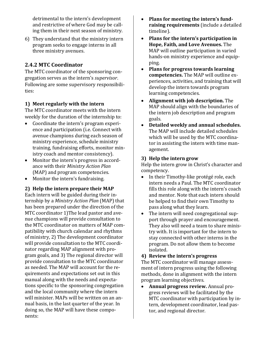detrimental to the intern's development and restrictive of where God may be calling them in their next season of ministry.

6) They understand that the ministry intern program seeks to engage interns in all three ministry avenues.

#### **2.4.2 MTC Coordinator**

The MTC coordinator of the sponsoring congregation serves as the intern's *supervisor*. Following are some supervisory responsibilities:

#### **1) Meet regularly with the intern**

The MTC coordinator meets with the intern weekly for the duration of the internship to:

- Coordinate the intern's program experience and participation (i.e. Connect with avenue champions during each season of ministry experience, schedule ministry training, fundraising efforts, monitor ministry coach and mentor consistency).
- Monitor the intern's progress in accordance with their *Ministry Action Plan* (MAP) and program competencies.
- Monitor the intern's fundraising.

#### **2) Help the intern prepare their MAP**

Each intern will be guided during their internship by a *Ministry Action Plan* (MAP) that has been prepared under the direction of the MTC coordinator 1)The lead pastor and avenue champions will provide consultation to the MTC coordinator on matters of MAP compatibility with church calendar and rhythms of ministry, 2) The development coordinator will provide consultation to the MTC coordinator regarding MAP alignment with program goals, and 3) The regional director will provide consultation to the MTC coordinator as needed. The MAP will account for the requirements and expectations set out in this manual along with the needs and expectations specific to the sponsoring congregation and the local community where the intern will minister. MAPs will be written on an annual basis, in the last quarter of the year. In doing so, the MAP will have these components:

- **Plans for meeting the intern's fundraising requirements** (include a detailed timeline).
- **Plans for the intern's participation in Hope, Faith, and Love Avenues.** The MAP will outline participation in varied hands-on ministry experience and equipping.
- **Plans for progress towards learning competencies.** The MAP will outline experiences, activities, and training that will develop the intern towards program learning competencies.
- **Alignment with job description.** The MAP should align with the boundaries of the intern job description and program goals.
- **Detailed weekly and annual schedules.** The MAP will include detailed schedules which will be used by the MTC coordinator in assisting the intern with time management.

#### **3) Help the intern grow**

Help the intern grow in Christ's character and competency.

- In their Timothy-like protégé role, each intern needs a Paul. The MTC coordinator fills this role along with the intern's coach and mentor. Note that each intern should be helped to find their own Timothy to pass along what they learn.
- The intern will need congregational support through prayer and encouragement. They also will need a team to share ministry with. It is important for the intern to stay connected with other interns in the program. Do not allow them to become isolated.

#### **4) Review the intern's progress**

The MTC coordinator will manage assessment of intern progress using the following methods, done in alignment with the intern program learning objectives.<br>• Annual progress review

• **Annual progress review.** Annual progress reviews will be facilitated by the MTC coordinator with participation by intern, development coordinator, lead pastor, and regional director.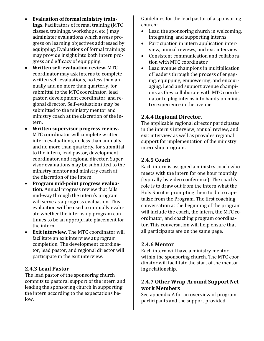- **Evaluation of formal ministry trainings.** Facilitators of formal training (MTC classes, trainings, workshops, etc.) may administer evaluations which assess progress on learning objectives addressed by equipping. Evaluations of formal trainings may provide insight into both intern progress and efficacy of equipping.
- **Written self-evaluation review.** MTC coordinator may ask interns to complete written self-evaluations, no less than annually and no more than quarterly, for submittal to the MTC coordinator, lead pastor, development coordinator, and regional director. Self-evaluations may be submitted to the ministry mentor and ministry coach at the discretion of the intern.
- **Written supervisor progress review.**  MTC coordinator will complete written intern evaluations, no less than annually and no more than quarterly, for submittal to the intern, lead pastor, development coordinator, and regional director. Supervisor evaluations may be submitted to the ministry mentor and ministry coach at the discretion of the intern.
- **Program mid-point progress evaluation.** Annual progress review that falls mid-way through the intern's program will serve as a progress evaluation. This evaluation will be used to mutually evaluate whether the internship program continues to be an appropriate placement for the intern.
- **Exit interview.** The MTC coordinator will facilitate an exit interview at program completion. The development coordinator, lead pastor, and regional director will participate in the exit interview.

#### **2.4.3 Lead Pastor**

The lead pastor of the sponsoring church commits to pastoral support of the intern and leading the sponsoring church in supporting the intern according to the expectations below.

Guidelines for the lead pastor of a sponsoring church:

- Lead the sponsoring church in welcoming, integrating, and supporting interns
- Participation in intern application interview, annual reviews, and exit interview
- Consistent communication and collaboration with MTC coordinator
- Lead avenue champions in multiplication of leaders through the process of engaging, equipping, empowering, and encouraging. Lead and support avenue champions as they collaborate with MTC coordinator to plug interns into hands-on ministry experience in the avenue.

#### **2.4.4 Regional Director.**

The applicable regional director participates in the intern's interview, annual review, and exit interview as well as provides regional support for implementation of the ministry internship program.

#### **2.4.5 Coach**

Each intern is assigned a ministry coach who meets with the intern for one hour monthly (typically by video conference). The coach's role is to draw out from the intern what the Holy Spirit is prompting them to do to capitalize from the Program. The first coaching conversation at the beginning of the program will include the coach, the intern, the MTC coordinator, and coaching program coordinator. This conversation will help ensure that all participants are on the same page.

#### **2.4.6 Mentor**

Each intern will have a ministry mentor within the sponsoring church. The MTC coordinator will facilitate the start of the mentoring relationship.

#### **2.4.7 Other Wrap-Around Support Network Members**

See appendix A for an overview of program participants and the support provided.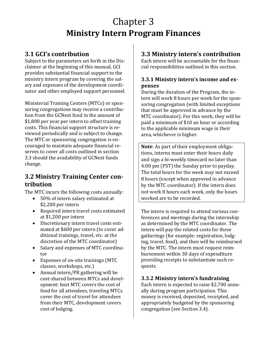# Chapter 3 **Ministry Intern Program Finances**

# **3.1 GCI's contribution**

Subject to the parameters set forth in the Disclaimer at the beginning of this manual, GCI provides substantial financial support to the ministry intern program by covering the salary and expenses of the development coordinator and other employed support personnel.

Ministerial Training Centers (MTCs) or sponsoring congregations may receive a contribution from the GCNext fund in the amount of \$1,800 per year per intern to offset training costs. This financial support structure is reviewed periodically and is subject to change. The MTC or sponsoring congregation is encouraged to maintain adequate financial reserves to cover all costs outlined in section 3.3 should the availability of GCNext funds change.

# **3.2 Ministry Training Center contribution**

The MTC incurs the following costs annually:

- 50% of intern salary estimated at \$2,200 per intern
- Required intern travel costs estimated at \$1,200 per intern
- Discretionary intern travel costs estimated at \$600 per intern (to cover additional trainings, travel, etc. at the discretion of the MTC coordinator)
- Salary and expenses of MTC coordinator
- Expenses of on-site trainings (MTC classes, workshops, etc.)
- Annual intern/PR gathering will be cost-shared between MTCs and development: host MTC covers the cost of food for all attendees, traveling MTCs cover the cost of travel for attendees from their MTC, development covers cost of lodging.

# **3.3 Ministry intern's contribution**

Each intern will be accountable for the financial responsibilities outlined in this section.

#### **3.3.1 Ministry intern's income and expenses**

During the duration of the Program, the intern will work 8 hours per week for the sponsoring congregation (with limited exceptions that must be approved in advance by the MTC coordinator). For this work, they will be paid a minimum of \$10 an hour or according to the applicable minimum wage in their area, whichever is higher.

**Note**: As part of their employment obligations, interns must enter their hours daily and sign a bi-weekly timecard no later than 4:00 pm (PST) the Sunday prior to payday. The total hours for the week may not exceed 8 hours (except when approved in advance by the MTC coordinator). If the intern does not work 8 hours each week, only the hours worked are to be recorded.

The intern is required to attend various conferences and meetings during the internship as determined by the MTC coordinator. The intern will pay the related costs for these gatherings (for example: registration, lodging, travel, food), and then will be reimbursed by the MTC. The intern must request reimbursement within 30 days of expenditure providing receipts to substantiate such requests.

#### **3.3.2 Ministry intern's fundraising**

Each intern is expected to raise \$2,700 annually during program participation. This money is received, deposited, receipted, and appropriately budgeted by the sponsoring congregation (see Section 3.4).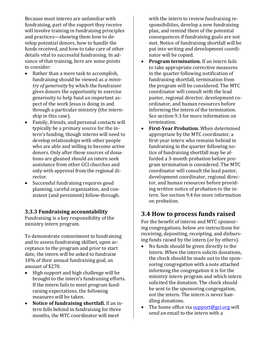Because most interns are unfamiliar with fundraising, part of the support they receive will involve training in fundraising principles and practices—showing them how to develop potential donors, how to handle the funds received, and how to take care of other details vital to successful fundraising. In advance of that training, here are some points to consider:

- Rather than a mere task to accomplish, fundraising should be viewed as *a ministry of generosity* by which the fundraiser gives donors the opportunity to exercise generosity to help fund an important aspect of the work Jesus is doing in and through a particular ministry (the internship in this case).
- Family, friends, and personal contacts will typically be a primary source for the intern's funding, though interns will need to develop relationships with other people who are able and willing to become active donors. Only after those sources of donations are gleaned should an intern seek assistance from other GCI churches and only with approval from the regional director.
- Successful fundraising requires good planning, careful organization, and consistent (and persistent) follow-through.

#### **3.3.3 Fundraising accountability**

Fundraising is a key responsibility of the ministry intern program.

To demonstrate commitment to fundraising and to assess fundraising skillset, upon acceptance to the program and prior to start date, the intern will be asked to fundraise 10% of their annual fundraising goal, an amount of \$270.

- High support and high challenge will be brought to the intern's fundraising efforts. If the intern fails to meet program fundraising expectations, the following measures will be taken.
- **Notice of fundraising shortfall.** If an intern falls behind in fundraising for three months, the MTC coordinator will meet

with the intern to review fundraising responsibilities, develop a new fundraising plan, and remind them of the potential consequences if fundraising goals are not met. Notice of fundraising shortfall will be put into writing and development coordinator will be copied.

- **Program termination.** If an intern fails to take appropriate corrective measures in the quarter following notification of fundraising shortfall, termination from the program will be considered. The MTC coordinator will consult with the lead pastor, regional director, development coordinator, and human resources before informing the intern of the termination. See section 9.3 for more information on termination.
- **First-Year Probation.** When determined appropriate by the MTC coordinator, a first-year intern who remains behind in fundraising in the quarter following notice of fundraising shortfall may be afforded a 3-month probation before program termination is considered. The MTC coordinator will consult the lead pastor, development coordinator, regional director, and human resources before providing written notice of probation to the intern. See section 9.4 for more information on probation.

# **3.4 How to process funds raised**

For the benefit of interns and MTC sponsoring congregations, below are instructions for receiving, depositing, receipting, and disbursing funds raised by the intern (or by others).<br>• No funds should be given directly to the

- No funds should be given directly to the intern. When the intern solicits donations, the check should be made out to the sponsoring congregation with a note attached informing the congregation it is for the ministry intern program and which intern solicited the donation. The check should be sent to the sponsoring congregation, *not* the intern. The intern is never handling donations.
- The home office via  $\frac{\text{support@gci.org}}{\text{weight@gci.org}}$ send an email to the intern with a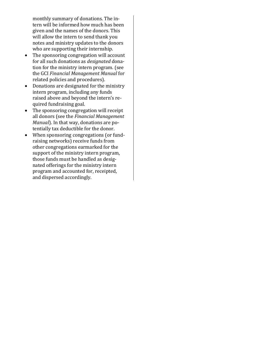monthly summary of donations. The intern will be informed how much has been given and the names of the donors. This will allow the intern to send thank you notes and ministry updates to the donors who are supporting their internship.

- The sponsoring congregation will account for all such donations as *designated* donation for the ministry intern program. (see the GCI *Financial Management Manual* for related policies and procedures).
- Donations are designated for the ministry intern program, including any funds raised above and beyond the intern's required fundraising goal.
- The sponsoring congregation will receipt all donors (see the *Financial Management Manual*). In that way, donations are potentially tax deductible for the donor.
- When sponsoring congregations (or fundraising networks) receive funds from other congregations earmarked for the support of the ministry intern program, those funds must be handled as designated offerings for the ministry intern program and accounted for, receipted, and dispersed accordingly.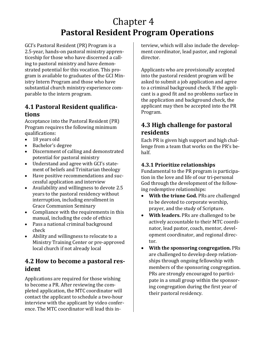# Chapter 4 **Pastoral Resident Program Operations**

GCI's Pastoral Resident (PR) Program is a 2.5-year, hands-on pastoral ministry apprenticeship for those who have discerned a calling to pastoral ministry and have demonstrated potential for this vocation. This program is available to graduates of the GCI Ministry Intern Program and those who have substantial church ministry experience comparable to the intern program.

#### **4.1 Pastoral Resident qualifications**

Acceptance into the Pastoral Resident (PR) Program requires the following minimum qualifications:<br>• 18 years ol

- 18 years old
- Bachelor's degree
- Discernment of calling and demonstrated potential for pastoral ministry
- Understand and agree with GCI's statement of beliefs and Trinitarian theology
- Have positive recommendations and successful application and interview
- Availability and willingness to devote 2.5 years to the pastoral residency without interruption, including enrollment in Grace Communion Seminary
- Compliance with the requirements in this manual, including the code of ethics
- Pass a national criminal background check
- Ability and willingness to relocate to a Ministry Training Center or pre-approved local church if not already local

## **4.2 How to become a pastoral resident**

Applications are required for those wishing to become a PR. After reviewing the completed application, the MTC coordinator will contact the applicant to schedule a two-hour interview with the applicant by video conference. The MTC coordinator will lead this interview, which will also include the development coordinator, lead pastor, and regional director.

Applicants who are provisionally accepted into the pastoral resident program will be asked to submit a job application and agree to a criminal background check. If the applicant is a good fit and no problems surface in the application and background check, the applicant may then be accepted into the PR Program.

# **4.3 High challenge for pastoral residents**

Each PR is given high support and high challenge from a team that works on the PR's behalf.

#### **4.3.1 Prioritize relationships**

Fundamental to the PR program is participation in the love and life of our tri-personal God through the development of the following redemptive relationships:<br>• With the triune God. PRs

- **With the triune God.** PRs are challenged to be devoted to corporate worship, prayer, and the study of Scripture.
- **With leaders.** PRs are challenged to be actively accountable to their MTC coordinator, lead pastor, coach, mentor, development coordinator, and regional director.
- **With the sponsoring congregation.** PRs are challenged to develop deep relationships through ongoing fellowship with members of the sponsoring congregation. PRs are strongly encouraged to participate in a small group within the sponsoring congregation during the first year of their pastoral residency.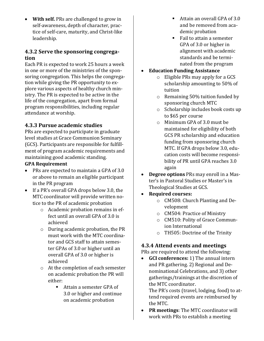• **With self.** PRs are challenged to grow in self-awareness, depth of character, practice of self-care, maturity, and Christ-like leadership.

#### **4.3.2 Serve the sponsoring congregation**

Each PR is expected to work 25 hours a week in one or more of the ministries of the sponsoring congregation. This helps the congregation while giving the PR opportunity to explore various aspects of healthy church ministry. The PR is expected to be active in the life of the congregation, apart from formal program responsibilities, including regular attendance at worship.

#### **4.3.3 Pursue academic studies**

PRs are expected to participate in graduate level studies at Grace Communion Seminary (GCS). Participants are responsible for fulfillment of program academic requirements and maintaining good academic standing.

#### **GPA Requirement**

- PRs are expected to maintain a GPA of 3.0 or above to remain an eligible participant in the PR program
- If a PR's overall GPA drops below 3.0, the MTC coordinator will provide written notice to the PR of academic probation
	- o Academic probation remains in effect until an overall GPA of 3.0 is achieved
	- o During academic probation, the PR must work with the MTC coordinator and GCS staff to attain semester GPAs of 3.0 or higher until an overall GPA of 3.0 or higher is achieved
	- o At the completion of each semester on academic probation the PR will either:
		- Attain a semester GPA of 3.0 or higher and continue on academic probation
- Attain an overall GPA of 3.0 and be removed from academic probation
- Fail to attain a semester GPA of 3.0 or higher in alignment with academic standards and be terminated from the program
- **Education Funding Assistance**
	- o Eligible PRs may apply for a GCS scholarship amounting to 50% of tuition
	- o Remaining 50% tuition funded by sponsoring church MTC
	- o Scholarship includes book costs up to \$65 per course
	- o Minimum GPA of 3.0 must be maintained for eligibility of both GCS PR scholarship and education funding from sponsoring church MTC. If GPA drops below 3.0, education costs will become responsibility of PR until GPA reaches 3.0 again
- **Degree options** PRs may enroll in a Master's in Pastoral Studies or Master's in Theological Studies at GCS.
- **Required courses:**
	- o CM508: Church Planting and Development
	- o CM504: Practice of Ministry
	- o CM510: Polity of Grace Communion International
	- o TH505: Doctrine of the Trinity

#### **4.3.4 Attend events and meetings**

**PRs are required to attend the following:**<br>• **GCI conferences:** 1) The annual inter

• **GCI conferences:** 1) The annual intern and PR gathering. 2) Regional and Denominational Celebrations, and 3) other gatherings/trainings at the discretion of the MTC coordinator.

The PR's costs (travel, lodging, food) to attend required events are reimbursed by the MTC.

• **PR meetings**: The MTC coordinator will work with PRs to establish a meeting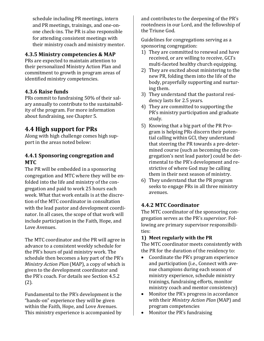schedule including PR meetings, intern and PR meetings, trainings, and one-onone check-ins. The PR is also responsible for attending consistent meetings with their ministry coach and ministry mentor.

#### **4.3.5 Ministry competencies & MAP**

PRs are expected to maintain attention to their personalized Ministry Action Plan and commitment to growth in program areas of identified ministry competencies.

#### **4.3.6 Raise funds**

PRs commit to fundraising 50% of their salary annually to contribute to the sustainability of the program. For more information about fundraising, see Chapter 5.

### **4.4 High support for PRs**

Along with high challenge comes high support in the areas noted below:

#### **4.4.1 Sponsoring congregation and MTC**

The PR will be embedded in a sponsoring congregation and MTC where they will be enfolded into the life and ministry of the congregation and paid to work 25 hours each week. What that work entails is at the discretion of the MTC coordinator in consultation with the lead pastor and development coordinator. In all cases, the scope of that work will include participation in the Faith, Hope, and Love Avenues.

The MTC coordinator and the PR will agree in advance to a consistent weekly schedule for the PR's hours of paid ministry work. The schedule then becomes a key part of the PR's *Ministry Action Plan* (MAP), a copy of which is given to the development coordinator and the PR's coach. For details see Section 4.5.2 (2).

Fundamental to the PR's development is the "hands-on" experience they will be given within the Faith, Hope, and Love Avenues. This ministry experience is accompanied by and contributes to the deepening of the PR's rootedness in our Lord, and the fellowship of the Triune God.

Guidelines for congregations serving as a sponsoring congregation:

- 1) They are committed to renewal and have received, or are willing to receive, GCI's multi-faceted healthy church equipping.
- 2) They are excited about ministering to the new PR, folding them into the life of the body, prayerfully supporting and nurturing them.
- 3) They understand that the pastoral residency lasts for 2.5 years.
- 4) They are committed to supporting the PR's ministry participation and graduate study.
- 5) Knowing that a big part of the PR Program is helping PRs discern their potential calling within GCI, they understand that steering the PR towards a pre-determined course (such as becoming the congregation's next lead pastor) could be detrimental to the PR's development and restrictive of where God may be calling them in their next season of ministry.
- 6) They understand that the PR program seeks to engage PRs in all three ministry avenues.

#### **4.4.2 MTC Coordinator**

The MTC coordinator of the sponsoring congregation serves as the PR's *supervisor*. Following are primary supervisor responsibilities:

#### **1) Meet regularly with the PR**

The MTC coordinator meets consistently with the PR for the duration of the residency to:

- Coordinate the PR's program experience and participation (i.e., Connect with avenue champions during each season of ministry experience, schedule ministry trainings, fundraising efforts, monitor ministry coach and mentor consistency)
- Monitor the PR's progress in accordance with their *Ministry Action Plan* (MAP) and program competencies
- Monitor the PR's fundraising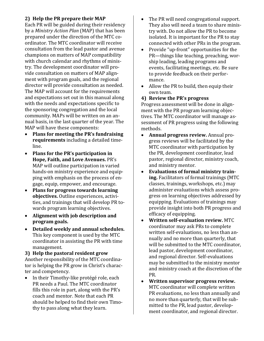#### **2) Help the PR prepare their MAP**

Each PR will be guided during their residency by a *Ministry Action Plan* (MAP) that has been prepared under the direction of the MTC coordinator. The MTC coordinator will receive consultation from the lead pastor and avenue champions on matters of MAP compatibility with church calendar and rhythms of ministry. The development coordinator will provide consultation on matters of MAP alignment with program goals, and the regional director will provide consultation as needed. The MAP will account for the requirements and expectations set out in this manual along with the needs and expectations specific to the sponsoring congregation and the local community. MAPs will be written on an annual basis, in the last quarter of the year. The MAP will have these components:

- **Plans for meeting the PR's fundraising requirements** including a detailed timeline.
- **Plans for the PR's participation in Hope, Faith, and Love Avenues.** PR's MAP will outline participation in varied hands-on ministry experience and equipping with emphasis on the process of engage, equip, empower, and encourage.
- **Plans for progress towards learning objectives.** Outline experiences, activities, and trainings that will develop PR towards program learning objectives.
- **Alignment with job description and program goals.**
- **Detailed weekly and annual schedules.**  This key component is used by the MTC coordinator in assisting the PR with time management.

**3) Help the pastoral resident grow** Another responsibility of the MTC coordinator is helping the PR grow in Christ's character and competency.

• In their Timothy-like protégé role, each PR needs a Paul. The MTC coordinator fills this role in part, along with the PR's coach and mentor. Note that each PR should be helped to find their own Timothy to pass along what they learn.

- The PR will need congregational support. They also will need a team to share ministry with. Do not allow the PR to become isolated. It is important for the PR to stay connected with other PRs in the program.
- Provide "up-front" opportunities for the PR—things like teaching, preaching, worship leading, leading programs and events, facilitating meetings, etc. Be sure to provide feedback on their performance.
- Allow the PR to build, then equip their own team.
- **4) Review the PR's progress**

Progress assessment will be done in alignment with the PR program learning objectives. The MTC coordinator will manage assessment of PR progress using the following

- methods.<br>• **Annua** • **Annual progress review.** Annual progress reviews will be facilitated by the MTC coordinator with participation by the PR, development coordinator, lead pastor, regional director, ministry coach, and ministry mentor.
- **Evaluations of formal ministry training.** Facilitators of formal trainings (MTC classes, trainings, workshops, etc.) may administer evaluations which assess progress on learning objectives addressed by equipping. Evaluations of trainings may provide insight into both PR progress and efficacy of equipping.
- **Written self-evaluation review.** MTC coordinator may ask PRs to complete written self-evaluations, no less than annually and no more than quarterly, that will be submitted to the MTC coordinator, lead pastor, development coordinator, and regional director. Self-evaluations may be submitted to the ministry mentor and ministry coach at the discretion of the PR.
- **Written supervisor progress review.** MTC coordinator will complete written PR evaluations, no less than annually and no more than quarterly, that will be submitted to the PR, lead pastor, development coordinator, and regional director.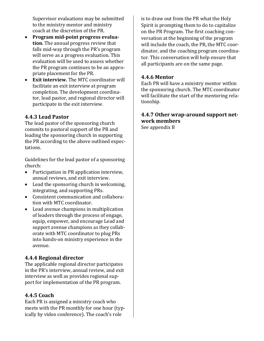Supervisor evaluations may be submitted to the ministry mentor and ministry coach at the discretion of the PR.

- **Program mid-point progress evaluation.** The annual progress review that falls mid-way through the PR's program will serve as a progress evaluation. This evaluation will be used to assess whether the PR program continues to be an appropriate placement for the PR.
- **Exit interview.** The MTC coordinator will facilitate an exit interview at program completion. The development coordinator, lead pastor, and regional director will participate in the exit interview.

#### **4.4.3 Lead Pastor**

The lead pastor of the sponsoring church commits to pastoral support of the PR and leading the sponsoring church in supporting the PR according to the above outlined expectations.

Guidelines for the lead pastor of a sponsoring church:

- Participation in PR application interview, annual reviews, and exit interview.
- Lead the sponsoring church in welcoming, integrating, and supporting PRs.
- Consistent communication and collaboration with MTC coordinator.
- Lead avenue champions in multiplication of leaders through the process of engage, equip, empower, and encourage Lead and support avenue champions as they collaborate with MTC coordinator to plug PRs into hands-on ministry experience in the avenue.

#### **4.4.4 Regional director**

The applicable regional director participates in the PR's interview, annual review, and exit interview as well as provides regional support for implementation of the PR program.

#### **4.4.5 Coach**

Each PR is assigned a ministry coach who meets with the PR monthly for one hour (typically by video conference). The coach's role

is to draw out from the PR what the Holy Spirit is prompting them to do to capitalize on the PR Program. The first coaching conversation at the beginning of the program will include the coach, the PR, the MTC coordinator, and the coaching program coordinator. This conversation will help ensure that all participants are on the same page.

#### **4.4.6 Mentor**

Each PR will have a ministry mentor within the sponsoring church. The MTC coordinator will facilitate the start of the mentoring relationship.

# **4.4.7 Other wrap-around support network members**

See appendix B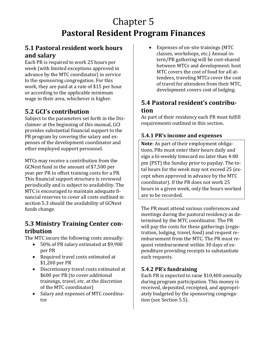# Chapter 5 **Pastoral Resident Program Finances**

## **5.1 Pastoral resident work hours and salary**

Each PR is required to work 25 hours per week (with limited exceptions approved in advance by the MTC coordinator) in service to the sponsoring congregation. For this work, they are paid at a rate of \$15 per hour or according to the applicable minimum wage in their area, whichever is higher.

# **5.2 GCI's contribution**

Subject to the parameters set forth in the Disclaimer at the beginning of this manual, GCI provides substantial financial support to the PR program by covering the salary and expenses of the development coordinator and other employed support personnel.

MTCs may receive a contribution from the GCNext fund in the amount of \$7,500 per year per PR to offset training costs for a PR. This financial support structure is reviewed periodically and is subject to availability. The MTC is encouraged to maintain adequate financial reserves to cover all costs outlined in section 5.3 should the availability of GCNext funds change.

# **5.3 Ministry Training Center contribution**

The MTC incurs the following costs annually:

- 50% of PR salary estimated at \$9,900 per PR
- Required travel costs estimated at \$1,200 per PR
- Discretionary travel costs estimated at \$600 per PR (to cover additional trainings, travel, etc. at the discretion of the MTC coordinator)
- Salary and expenses of MTC coordinator

• Expenses of on-site trainings (MTC classes, workshops, etc.) Annual intern/PR gathering will be cost-shared between MTCs and development: host MTC covers the cost of food for all attendees, traveling MTCs cover the cost of travel for attendees from their MTC, development covers cost of lodging.

# **5.4 Pastoral resident's contribution**

As part of their residency each PR must fulfill requirements outlined in this section.

#### **5.4.1 PR's income and expenses**

**Note**: As part of their employment obligations, PRs must enter their hours daily and sign a bi-weekly timecard no later than 4:00 pm (PST) the Sunday prior to payday. The total hours for the week may not exceed 25 (except when approved in advance by the MTC coordinator). If the PR does not work 25 hours in a given week, only the hours worked are to be recorded.

The PR must attend various conferences and meetings during the pastoral residency as determined by the MTC coordinator. The PR will pay the costs for these gatherings (registration, lodging, travel, food) and request reimbursement from the MTC. The PR must request reimbursement within 30 days of expenditure providing receipts to substantiate such requests.

### **5.4.2 PR's fundraising**

Each PR is expected to raise \$10,400 annually during program participation. This money is received, deposited, receipted, and appropriately budgeted by the sponsoring congregation (see Section 5.5).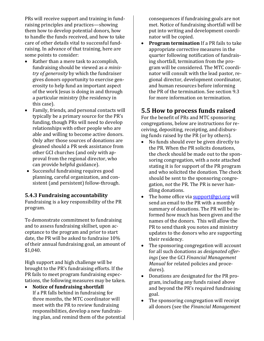PRs will receive support and training in fundraising principles and practices—showing them how to develop potential donors, how to handle the funds received, and how to take care of other details vital to successful fundraising. In advance of that training, here are some points to consider:

- Rather than a mere task to accomplish, fundraising should be viewed as *a ministry of generosity* by which the fundraiser gives donors opportunity to exercise generosity to help fund an important aspect of the work Jesus is doing in and through a particular ministry (the residency in this case).
- Family, friends, and personal contacts will typically be a primary source for the PR's funding, though PRs will need to develop relationships with other people who are able and willing to become active donors. Only after those sources of donations are gleaned should a PR seek assistance from other GCI churches (and only with approval from the regional director, who can provide helpful guidance).
- Successful fundraising requires good planning, careful organization, and consistent (and persistent) follow-through.

#### **5.4.3 Fundraising accountability**

Fundraising is a key responsibility of the PR program.

To demonstrate commitment to fundraising and to assess fundraising skillset, upon acceptance to the program and prior to start date, the PR will be asked to fundraise 10% of their annual fundraising goal, an amount of \$1,040.

High support and high challenge will be brought to the PR's fundraising efforts. If the PR fails to meet program fundraising expectations, the following measures may be taken.

• **Notice of fundraising shortfall**  If a PR falls behind in fundraising for three months, the MTC coordinator will meet with the PR to review fundraising responsibilities, develop a new fundraising plan, and remind them of the potential consequences if fundraising goals are not met. Notice of fundraising shortfall will be put into writing and development coordinator will be copied.

• **Program termination** If a PR fails to take appropriate corrective measures in the quarter following notification of fundraising shortfall, termination from the program will be considered. The MTC coordinator will consult with the lead pastor, regional director, development coordinator, and human resources before informing the PR of the termination. See section 9.3 for more information on termination.

# **5.5 How to process funds raised**

For the benefit of PRs and MTC sponsoring congregations, below are instructions for receiving, depositing, receipting, and disbursing funds raised by the PR (or by others).<br>• No funds should ever be given directly

- No funds should ever be given directly to the PR. When the PR solicits donations, the check should be made out to the sponsoring congregation, with a note attached stating it is for support of the PR program and who solicited the donation. The check should be sent to the sponsoring congregation, *not* the PR. The PR is never handling donations.
- The home office via  $\frac{\text{support@gci.org}}{\text{weight@gci.org}}$ send an email to the PR with a monthly summary of donations. The PR will be informed how much has been given and the names of the donors. This will allow the PR to send thank you notes and ministry updates to the donors who are supporting their residency.
- The sponsoring congregation will account for all such donations as *designated offerings* (see the GCI *Financial Management Manual* for related policies and procedures).
- Donations are designated for the PR program, including any funds raised above and beyond the PR's required fundraising goal.
- The sponsoring congregation will receipt all donors (see the *Financial Management*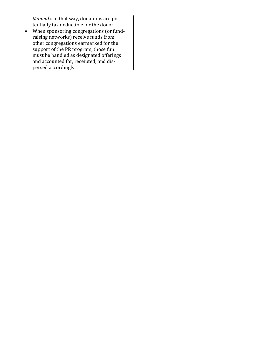*Manual*). In that way, donations are potentially tax deductible for the donor.

• When sponsoring congregations (or fundraising networks) receive funds from other congregations earmarked for the support of the PR program, those fun must be handled as designated offerings and accounted for, receipted, and dispersed accordingly.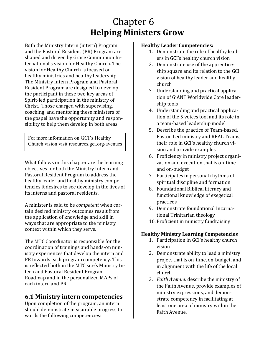# Chapter 6 **Helping Ministers Grow**

Both the Ministry Intern (intern) Program and the Pastoral Resident (PR) Program are shaped and driven by Grace Communion International's vision for Healthy Church. The vision for Healthy Church is focused on healthy ministries and healthy leadership. The Ministry Intern Program and Pastoral Resident Program are designed to develop the participant in these two key areas of Spirit-led participation in the ministry of Christ. Those charged with supervising, coaching, and mentoring these ministers of the gospel have the opportunity and responsibility to help them develop in both areas.

For more information on GCI's Healthy Church vision visit resources.gci.org/avenues

What follows in this chapter are the learning objectives for both the Ministry Intern and Pastoral Resident Program to address the healthy leader and healthy ministry competencies it desires to see develop in the lives of its interns and pastoral residents.

A minister is said to be *competent* when certain desired ministry outcomes result from the application of knowledge and skill in ways that are appropriate to the ministry context within which they serve.

The MTC Coordinator is responsible for the coordination of trainings and hands-on ministry experiences that develop the intern and PR towards each program competency. This is reflected both in the MTC site's Ministry Intern and Pastoral Resident Program Roadmap and in the personalized MAPs of each intern and PR.

# **6.1 Ministry intern competencies**

Upon completion of the program, an intern should demonstrate measurable progress towards the following competencies:

#### **Healthy Leader Competencies:**

- 1. Demonstrate the role of healthy leaders in GCI's healthy church vision
- 2. Demonstrate use of the apprenticeship square and its relation to the GCI vision of healthy leader and healthy church
- 3. Understanding and practical application of GiANT Worldwide Core leadership tools
- 4. Understanding and practical application of the 5 voices tool and its role in a team-based leadership model
- 5. Describe the practice of Team-based, Pastor-Led ministry and REAL Teams, their role in GCI's healthy church vision and provide examples
- 6. Proficiency in ministry project organization and execution that is on-time and on-budget
- 7. Participates in personal rhythms of spiritual discipline and formation
- 8. Foundational Biblical literacy and functional knowledge of exegetical practices
- 9. Demonstrate foundational Incarnational Trinitarian theology
- 10. Proficient in ministry fundraising

#### **Healthy Ministry Learning Competencies**

- 1. Participation in GCI's healthy church vision
- 2. Demonstrate ability to lead a ministry project that is on-time, on-budget, and in alignment with the life of the local church
- 3. *Faith Avenue:* describe the ministry of the Faith Avenue, provide examples of ministry expressions, and demonstrate competency in facilitating at least one area of ministry within the Faith Avenue.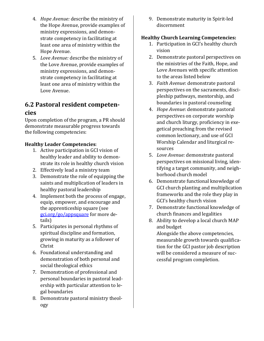- 4. *Hope Avenue:* describe the ministry of the Hope Avenue, provide examples of ministry expressions, and demonstrate competency in facilitating at least one area of ministry within the Hope Avenue.
- 5. *Love Avenue:* describe the ministry of the Love Avenue, provide examples of ministry expressions, and demonstrate competency in facilitating at least one area of ministry within the Love Avenue.

# **6.2 Pastoral resident competen-**

#### **cies**

Upon completion of the program, a PR should demonstrate measurable progress towards the following competencies:

#### **Healthy Leader Competencies**:

- 1. Active participation in GCI vision of healthy leader and ability to demonstrate its role in healthy church vision
- 2. Effectively lead a ministry team
- 3. Demonstrate the role of equipping the saints and multiplication of leaders in healthy pastoral leadership
- 4. Implement both the process of engage, equip, empower, and encourage and the apprenticeship square (see [gci.org/go/appsquare](https://resources.gci.org/wp-content/uploads/2019/09/CH9-ApprenticeshipSquare.pdf) for more details)
- 5. Participates in personal rhythms of spiritual discipline and formation, growing in maturity as a follower of Christ
- 6. Foundational understanding and demonstration of both personal and social theological ethics
- 7. Demonstration of professional and personal boundaries in pastoral leadership with particular attention to legal boundaries
- 8. Demonstrate pastoral ministry theology

9. Demonstrate maturity in Spirit-led discernment

#### **Healthy Church Learning Competencies:**

- 1. Participation in GCI's healthy church vision
- 2. Demonstrate pastoral perspectives on the ministries of the Faith, Hope, and Love Avenues with specific attention to the areas listed below
- 3. *Faith Avenue*: demonstrate pastoral perspectives on the sacraments, discipleship pathways, mentorship, and boundaries in pastoral counseling
- 4. *Hope Avenue*: demonstrate pastoral perspectives on corporate worship and church liturgy, proficiency in exegetical preaching from the revised common lectionary, and use of GCI Worship Calendar and liturgical resources
- 5. *Love Avenue:* demonstrate pastoral perspectives on missional living, identifying a target community, and neighborhood church model
- 6. Demonstrate functional knowledge of GCI church planting and multiplication frameworks and the role they play in GCI's healthy church vision
- 7. Demonstrate functional knowledge of church finances and legalities
- 8. Ability to develop a local church MAP and budget

Alongside the above competencies, measurable growth towards qualification for the GCI pastor job description will be considered a measure of successful program completion.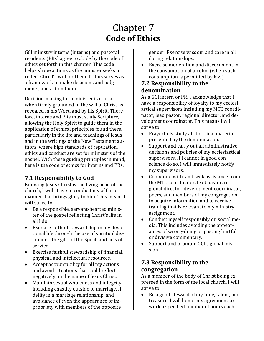# Chapter 7 **Code of Ethics**

GCI ministry interns (interns) and pastoral residents (PRs) agree to abide by the code of ethics set forth in this chapter. This code helps shape actions as the minister seeks to reflect Christ's will for them. It thus serves as a framework to make decisions and judgments, and act on them.

Decision-making for a minister is ethical when firmly grounded in the will of Christ as revealed in his Word and by his Spirit. Therefore, interns and PRs must study Scripture, allowing the Holy Spirit to guide them in the application of ethical principles found there, particularly in the life and teachings of Jesus and in the writings of the New Testament authors, where high standards of reputation, ethics and conduct are set for ministers of the gospel. With these guiding principles in mind, here is the code of ethics for interns and PRs.

## **7.1 Responsibility to God**

Knowing Jesus Christ is the living head of the church, I will strive to conduct myself in a manner that brings glory to him. This means I will strive to:

- Be a responsible, servant-hearted minister of the gospel reflecting Christ's life in all I do.
- Exercise faithful stewardship in my devotional life through the use of spiritual disciplines, the gifts of the Spirit, and acts of service.
- Exercise faithful stewardship of financial, physical, and intellectual resources.
- Accept accountability for all my actions and avoid situations that could reflect negatively on the name of Jesus Christ.
- Maintain sexual wholeness and integrity, including chastity outside of marriage, fidelity in a marriage relationship, and avoidance of even the appearance of impropriety with members of the opposite

gender. Exercise wisdom and care in all dating relationships.

• Exercise moderation and discernment in the consumption of alcohol (when such consumption is permitted by law).

#### **7.2 Responsibility to the denomination**

As a GCI intern or PR, I acknowledge that I have a responsibility of loyalty to my ecclesiastical supervisors including my MTC coordinator, lead pastor, regional director, and development coordinator. This means I will strive to:

- Prayerfully study all doctrinal materials presented by the denomination.
- Support and carry out all administrative decisions and policies of my ecclesiastical supervisors. If I cannot in good conscience do so, I will immediately notify my supervisors.
- Cooperate with, and seek assistance from the MTC coordinator, lead pastor, regional director, development coordinator, peers, and members of my congregation to acquire information and to receive training that is relevant to my ministry assignment.
- Conduct myself responsibly on social media. This includes avoiding the appearances of wrong-doing or posting hurtful or divisive commentary.
- Support and promote GCI's global mission.

#### **7.3 Responsibility to the congregation**

As a member of the body of Christ being expressed in the form of the local church, I will strive to:

• Be a good steward of my time, talent, and treasure. I will honor my agreement to work a specified number of hours each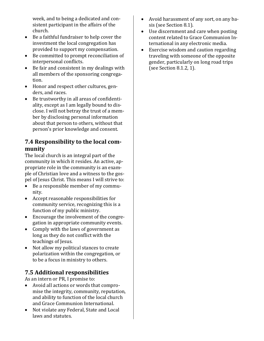week, and to being a dedicated and consistent participant in the affairs of the church.

- Be a faithful fundraiser to help cover the investment the local congregation has provided to support my compensation.
- Be committed to prompt reconciliation of interpersonal conflicts.
- Be fair and consistent in my dealings with all members of the sponsoring congregation.
- Honor and respect other cultures, genders, and races.
- Be trustworthy in all areas of confidentiality, except as I am legally bound to disclose. I will not betray the trust of a member by disclosing personal information about that person to others, without that person's prior knowledge and consent.

### **7.4 Responsibility to the local community**

The local church is an integral part of the community in which it resides. An active, appropriate role in the community is an example of Christian love and a witness to the gospel of Jesus Christ. This means I will strive to:

- Be a responsible member of my community.
- Accept reasonable responsibilities for community service, recognizing this is a function of my public ministry.
- Encourage the involvement of the congregation in appropriate community events.
- Comply with the laws of government as long as they do not conflict with the teachings of Jesus.
- Not allow my political stances to create polarization within the congregation, or to be a focus in ministry to others.

## **7.5 Additional responsibilities**

As an intern or PR, I promise to:<br>• Avoid all actions or words the

- Avoid all actions or words that compromise the integrity, community, reputation, and ability to function of the local church and Grace Communion International.
- Not violate any Federal, State and Local laws and statutes.
- Avoid harassment of any sort, on any basis (see Section 8.1).
- Use discernment and care when posting content related to Grace Communion International in any electronic media.
- Exercise wisdom and caution regarding traveling with someone of the opposite gender, particularly on long road trips (see Section 8.1.2, 1).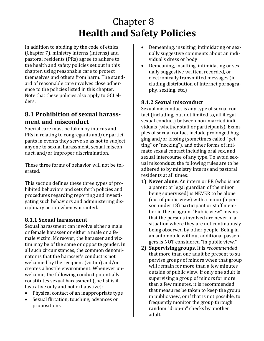# Chapter 8 **Health and Safety Policies**

In addition to abiding by the code of ethics (Chapter 7), ministry interns (interns) and pastoral residents (PRs) agree to adhere to the health and safety policies set out in this chapter, using reasonable care to protect themselves and others from harm. The standard of reasonable care involves close adherence to the policies listed in this chapter. Note that these policies also apply to GCI elders.

# **8.1 Prohibition of sexual harassment and misconduct**

Special care must be taken by interns and PRs in relating to congregants and/or participants in events they serve so as not to subject anyone to sexual harassment, sexual misconduct, and/or improper discrimination.

These three forms of behavior will not be tolerated.

This section defines these three types of prohibited behaviors and sets forth policies and procedures regarding reporting and investigating such behaviors and administering disciplinary action when warranted.

### **8.1.1 Sexual harassment**

Sexual harassment can involve either a male or female harasser or either a male or a female victim. Moreover, the harasser and victim may be of the same or opposite gender. In all such circumstances, the common denominator is that the harasser's conduct is not welcomed by the recipient (victim) and/or creates a hostile environment. Whenever unwelcome, the following conduct potentially constitutes sexual harassment (the list is illustrative only and not exhaustive):

- Physical contact of an inappropriate type
- Sexual flirtation, touching, advances or propositions
- Demeaning, insulting, intimidating or sexually suggestive comments about an individual's dress or body
- Demeaning, insulting, intimidating or sexually suggestive written, recorded, or electronically transmitted messages (including distribution of Internet pornography, sexting, etc.)

#### **8.1.2 Sexual misconduct**

Sexual misconduct is any type of sexual contact (including, but not limited to, all illegal sexual conduct) between non-married individuals (whether staff or participants). Examples of sexual contact include prolonged hugging and/or kissing (sometimes called "petting" or "necking"), and other forms of intimate sexual contact including oral sex, and sexual intercourse of any type. To avoid sexual misconduct, the following rules are to be adhered to by ministry interns and pastoral residents at all times:

- **1) Never alone.** An intern or PR (who is not a parent or legal guardian of the minor being supervised) is NEVER to be alone (out of public view) with a minor (a person under 18) participant or staff member in the program. "Public view" means that the persons involved are never in a situation where they are not continuously being observed by other people. Being in an automobile without additional passengers is NOT considered "in public view."
- **2) Supervising groups.** It is *recommended* that more than one adult be present to supervise groups of minors when that group will remain for more than a few minutes outside of public view. If only one adult is supervising a group of minors for more than a few minutes, it is recommended that measures be taken to keep the group in public view, or if that is not possible, to frequently monitor the group through random "drop-in" checks by another adult.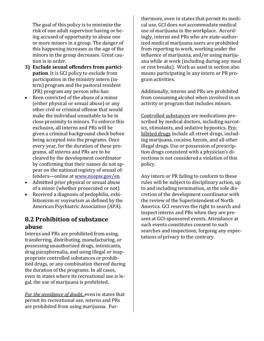The goal of this policy is to minimize the risk of one adult supervisor having or being accused of opportunity to abuse one or more minors in a group. The danger of this happening increases as the age of the minors in the group decreases. Great caution is in order.

- **3) Exclude sexual offenders from participation**. It is GCI policy to exclude from participation in the ministry intern (intern) program and the pastoral resident (PR) program any person who has:
- Been convicted of the abuse of a minor (either physical or sexual abuse) or any other civil or criminal offense that would make the individual unsuitable to be in close proximity to minors. To enforce this exclusion, all interns and PRs will be given a criminal background check before being accepted into the programs. Once every year, for the duration of these programs, all interns and PRs are to be cleared by the development coordinator by confirming that their names do not appear on the national registry of sexual offenders—online at [www.nsopw.gov/en.](http://www.nsopw.gov/en)
- Admitted prior physical or sexual abuse of a minor (whether prosecuted or not).
- Received a diagnosis of pedophilia, exhibitionism or voyeurism as defined by the American Psychiatric Association (APA).

#### **8.2 Prohibition of substance abuse**

Interns and PRs are prohibited from using, transferring, distributing, manufacturing, or possessing unauthorized drugs, intoxicants, drug paraphernalia, and using illegal or inappropriate controlled substances or prohibited drugs, or any combination thereof during the duration of the programs. In all cases, even in states where its recreational use is legal, the use of marijuana is prohibited.

*For the avoidance of doubt*, even in states that permit its recreational use, interns and PRs are prohibited from using marijuana. Fur-

thermore, even in states that permit its medical use, GCI does not accommodate medical use of marijuana in the workplace. Accordingly, interns and PRs who are state-authorized medical marijuana users are prohibited from reporting to work, working under the influence of marijuana, and/or using marijuana while at work (including during any meal or rest breaks). Work as used in section also means participating in any intern or PR program activities.

Additionally, interns and PRs are prohibited from consuming alcohol when involved in an activity or program that includes minors.

Controlled substances are medications prescribed by medical doctors, including narcotics, stimulants, and sedative hypnotics. Prohibited drugs include all street drugs, including marijuana, cocaine, heroin, and all other illegal drugs. Use or possession of prescription drugs consistent with a physician's directions is not considered a violation of this policy.

Any intern or PR failing to conform to these rules will be subject to disciplinary action, up to and including termination, at the sole discretion of the development coordinator with the review of the Superintendent of North America. GCI reserves the right to search and inspect interns and PRs when they are present at GCI-sponsored events. Attendance at such events constitutes consent to such searches and inspections, forgoing any expectations of privacy to the contrary.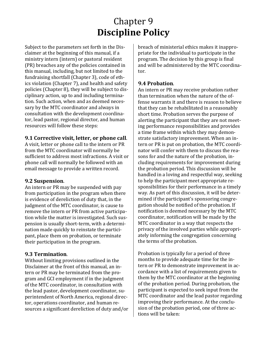# Chapter 9 **Discipline Policy**

Subject to the parameters set forth in the Disclaimer at the beginning of this manual, if a ministry intern (intern) or pastoral resident (PR) breaches any of the policies contained in this manual, including, but not limited to the fundraising shortfall (Chapter 3), code of ethics violation (Chapter 7), and health and safety policies (Chapter 8), they will be subject to disciplinary action, up to and including termination. Such action, when and as deemed necessary by the MTC coordinator and always in consultation with the development coordinator, lead pastor, regional director, and human resources will follow these steps:

#### **9.1 Corrective visit, letter, or phone call**.

A visit, letter or phone call to the intern or PR from the MTC coordinator will normally be sufficient to address most infractions. A visit or phone call will normally be followed with an email message to provide a written record.

#### **9.2 Suspension**.

An intern or PR may be suspended with pay from participation in the program when there is evidence of dereliction of duty that, in the judgment of the MTC coordinator, is cause to remove the intern or PR from active participation while the matter is investigated. Such suspension is usually short-term, with a determination made quickly to reinstate the participant, place them on probation, or terminate their participation in the program.

#### **9.3 Termination**.

Without limiting provisions outlined in the Disclaimer at the front of this manual, an intern or PR may be terminated from the program and GCI employment if in the judgment of the MTC coordinator, in consultation with the lead pastor, development coordinator, superintendent of North America, regional director, operations coordinator, and human resources a significant dereliction of duty and/or breach of ministerial ethics makes it inappropriate for the individual to participate in the program. The decision by this group is final and will be administered by the MTC coordinator.

#### **9.4 Probation**.

An intern or PR may receive probation rather than termination when the nature of the offense warrants it and there is reason to believe that they can be rehabilitated in a reasonably short time. Probation serves the purpose of alerting the participant that they are not meeting performance responsibilities and provides a time frame within which they may demonstrate satisfactory improvement. When an intern or PR is put on probation, the MTC coordinator will confer with them to discuss the reasons for and the nature of the probation, including requirements for improvement during the probation period. This discussion will be handled in a loving and respectful way, seeking to help the participant meet appropriate responsibilities for their performance in a timely way. As part of this discussion, it will be determined if the participant's sponsoring congregation should be notified of the probation. If notification is deemed necessary by the MTC coordinator, notification will be made by the MTC coordinator in a way that respects the privacy of the involved parties while appropriately informing the congregation concerning the terms of the probation.

Probation is typically for a period of three months to provide adequate time for the intern or PR to demonstrate improvement in accordance with a list of requirements given to them by the MTC coordinator at the beginning of the probation period. During probation, the participant is expected to seek input from the MTC coordinator and the lead pastor regarding improving their performance. At the conclusion of the probation period, one of three actions will be taken: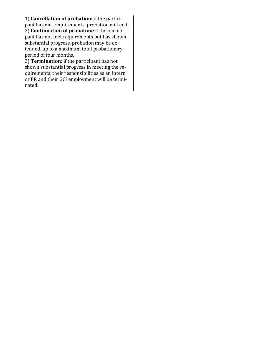1) **Cancellation of probation:** if the participant has met requirements, probation will end. 2) **Continuation of probation:** if the participant has not met requirements but has shown substantial progress, probation may be extended, up to a maximum total probationary period of four months.

3) **Termination:** if the participant has not shown substantial progress in meeting the requirements, their responsibilities as an intern or PR and their GCI employment will be terminated.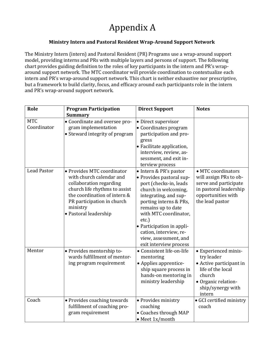# Appendix A

#### **Ministry Intern and Pastoral Resident Wrap-Around Support Network**

The Ministry Intern (intern) and Pastoral Resident (PR) Programs use a wrap-around support model, providing interns and PRs with multiple layers and persons of support. The following chart provides guiding definition to the roles of key participants in the intern and PR's wraparound support network. The MTC coordinator will provide coordination to contextualize each intern and PR's wrap-around support network. This chart is neither exhaustive nor prescriptive, but a framework to build clarity, focus, and efficacy around each participants role in the intern and PR's wrap-around support network.

| Role                      | <b>Program Participation</b>                                                                                                                                                                                          | <b>Direct Support</b>                                                                                                                                                                                                                                                                                                     | <b>Notes</b>                                                                                                                                       |
|---------------------------|-----------------------------------------------------------------------------------------------------------------------------------------------------------------------------------------------------------------------|---------------------------------------------------------------------------------------------------------------------------------------------------------------------------------------------------------------------------------------------------------------------------------------------------------------------------|----------------------------------------------------------------------------------------------------------------------------------------------------|
|                           | <b>Summary</b>                                                                                                                                                                                                        |                                                                                                                                                                                                                                                                                                                           |                                                                                                                                                    |
| <b>MTC</b><br>Coordinator | • Coordinate and oversee pro-<br>gram implementation<br>• Steward integrity of program                                                                                                                                | • Direct supervisor<br>• Coordinates program<br>participation and pro-<br>gress<br>• Facilitate application,<br>interview, review, as-<br>sessment, and exit in-<br>terview process                                                                                                                                       |                                                                                                                                                    |
| <b>Lead Pastor</b>        | • Provides MTC coordinator<br>with church calendar and<br>collaboration regarding<br>church life rhythms to assist<br>the coordination of intern &<br>PR participation in church<br>ministry<br>• Pastoral leadership | • Intern & PR's pastor<br>• Provides pastoral sup-<br>port (checks-in, leads<br>church in welcoming,<br>integrating, and sup-<br>porting interns & PRs,<br>remains up to date<br>with MTC coordinator,<br>etc.)<br>• Participation in appli-<br>cation, interview, re-<br>view, assessment, and<br>exit interview process | • MTC coordinators<br>will assign PRs to ob-<br>serve and participate<br>in pastoral leadership<br>opportunities with<br>the lead pastor           |
| Mentor                    | • Provides mentorship to-<br>wards fulfillment of mentor-<br>ing program requirement                                                                                                                                  | • Consistent life-on-life<br>mentoring<br>• Applies apprentice-<br>ship square process in<br>hands-on mentoring in<br>ministry leadership                                                                                                                                                                                 | • Experienced minis-<br>try leader<br>• Active participant in<br>life of the local<br>church<br>• Organic relation-<br>ship/synergy with<br>intern |
| Coach                     | • Provides coaching towards<br>fulfillment of coaching pro-<br>gram requirement                                                                                                                                       | · Provides ministry<br>coaching<br>· Coaches through MAP<br>• Meet 1x/month                                                                                                                                                                                                                                               | · GCI certified ministry<br>coach                                                                                                                  |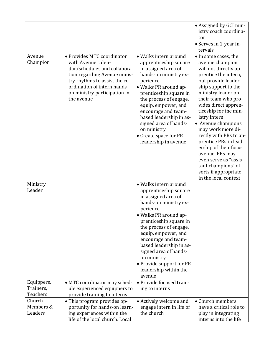|                    |                                                                                                                                                                                                                                |                                                                                                                                                                                                                                                                  | • Assigned by GCI min-                                                                                                                                                                                                                               |
|--------------------|--------------------------------------------------------------------------------------------------------------------------------------------------------------------------------------------------------------------------------|------------------------------------------------------------------------------------------------------------------------------------------------------------------------------------------------------------------------------------------------------------------|------------------------------------------------------------------------------------------------------------------------------------------------------------------------------------------------------------------------------------------------------|
|                    |                                                                                                                                                                                                                                |                                                                                                                                                                                                                                                                  | istry coach coordina-                                                                                                                                                                                                                                |
|                    |                                                                                                                                                                                                                                |                                                                                                                                                                                                                                                                  | tor                                                                                                                                                                                                                                                  |
|                    |                                                                                                                                                                                                                                |                                                                                                                                                                                                                                                                  | • Serves in 1-year in-                                                                                                                                                                                                                               |
|                    |                                                                                                                                                                                                                                |                                                                                                                                                                                                                                                                  | tervals                                                                                                                                                                                                                                              |
| Avenue<br>Champion | • Provides MTC coordinator<br>with Avenue calen-<br>dar/schedules and collabora-<br>tion regarding Avenue minis-<br>try rhythms to assist the co-<br>ordination of intern hands-<br>on ministry participation in<br>the avenue | • Walks intern around<br>apprenticeship square<br>in assigned area of<br>hands-on ministry ex-<br>perience<br>• Walks PR around ap-<br>prenticeship square in<br>the process of engage,<br>equip, empower, and<br>encourage and team-<br>based leadership in as- | • In some cases, the<br>avenue champion<br>will not directly ap-<br>prentice the intern,<br>but provide leader-<br>ship support to the<br>ministry leader on<br>their team who pro-<br>vides direct appren-<br>ticeship for the min-<br>istry intern |
|                    |                                                                                                                                                                                                                                | signed area of hands-<br>on ministry<br>• Create space for PR<br>leadership in avenue                                                                                                                                                                            | • Avenue champions<br>may work more di-<br>rectly with PRs to ap-<br>prentice PRs in lead-<br>ership of their focus<br>avenue. PRs may<br>even serve as "assis-<br>tant champions" of<br>sorts if appropriate<br>in the local context                |
| Ministry           |                                                                                                                                                                                                                                | • Walks intern around                                                                                                                                                                                                                                            |                                                                                                                                                                                                                                                      |
| Leader             |                                                                                                                                                                                                                                | apprenticeship square                                                                                                                                                                                                                                            |                                                                                                                                                                                                                                                      |
|                    |                                                                                                                                                                                                                                | in assigned area of                                                                                                                                                                                                                                              |                                                                                                                                                                                                                                                      |
|                    |                                                                                                                                                                                                                                | hands-on ministry ex-                                                                                                                                                                                                                                            |                                                                                                                                                                                                                                                      |
|                    |                                                                                                                                                                                                                                | perience                                                                                                                                                                                                                                                         |                                                                                                                                                                                                                                                      |
|                    |                                                                                                                                                                                                                                | · Walks PR around ap-                                                                                                                                                                                                                                            |                                                                                                                                                                                                                                                      |
|                    |                                                                                                                                                                                                                                | prenticeship square in<br>the process of engage,                                                                                                                                                                                                                 |                                                                                                                                                                                                                                                      |
|                    |                                                                                                                                                                                                                                | equip, empower, and                                                                                                                                                                                                                                              |                                                                                                                                                                                                                                                      |
|                    |                                                                                                                                                                                                                                | encourage and team-                                                                                                                                                                                                                                              |                                                                                                                                                                                                                                                      |
|                    |                                                                                                                                                                                                                                | based leadership in as-                                                                                                                                                                                                                                          |                                                                                                                                                                                                                                                      |
|                    |                                                                                                                                                                                                                                | signed area of hands-                                                                                                                                                                                                                                            |                                                                                                                                                                                                                                                      |
|                    |                                                                                                                                                                                                                                | on ministry                                                                                                                                                                                                                                                      |                                                                                                                                                                                                                                                      |
|                    |                                                                                                                                                                                                                                | • Provide support for PR                                                                                                                                                                                                                                         |                                                                                                                                                                                                                                                      |
|                    |                                                                                                                                                                                                                                | leadership within the<br>avenue                                                                                                                                                                                                                                  |                                                                                                                                                                                                                                                      |
| Equippers,         | · MTC coordinator may sched-                                                                                                                                                                                                   | • Provide focused train-                                                                                                                                                                                                                                         |                                                                                                                                                                                                                                                      |
| Trainers,          | ule experienced equippers to                                                                                                                                                                                                   | ing to interns                                                                                                                                                                                                                                                   |                                                                                                                                                                                                                                                      |
| <b>Teachers</b>    | provide training to interns                                                                                                                                                                                                    |                                                                                                                                                                                                                                                                  |                                                                                                                                                                                                                                                      |
| Church             | • This program provides op-                                                                                                                                                                                                    | • Actively welcome and                                                                                                                                                                                                                                           | • Church members                                                                                                                                                                                                                                     |
| Members &          | portunity for hands-on learn-                                                                                                                                                                                                  | engage intern in life of                                                                                                                                                                                                                                         | have a critical role to                                                                                                                                                                                                                              |
| Leaders            | ing experiences within the                                                                                                                                                                                                     | the church                                                                                                                                                                                                                                                       | play in integrating                                                                                                                                                                                                                                  |
|                    | life of the local church. Local                                                                                                                                                                                                |                                                                                                                                                                                                                                                                  | interns into the life                                                                                                                                                                                                                                |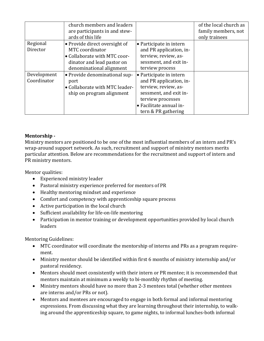|                            | church members and leaders<br>are participants in and stew-<br>ards of this life                                                           |                                                                                                                                                                             | of the local church as<br>family members, not<br>only trainees |
|----------------------------|--------------------------------------------------------------------------------------------------------------------------------------------|-----------------------------------------------------------------------------------------------------------------------------------------------------------------------------|----------------------------------------------------------------|
| Regional<br>Director       | • Provide direct oversight of<br>MTC coordinator<br>• Collaborate with MTC coor-<br>dinator and lead pastor on<br>denominational alignment | • Participate in intern<br>and PR application, in-<br>terview, review, as-<br>sessment, and exit in-<br>terview process                                                     |                                                                |
| Development<br>Coordinator | • Provide denominational sup-<br>port<br>• Collaborate with MTC leader-<br>ship on program alignment                                       | • Participate in intern<br>and PR application, in-<br>terview, review, as-<br>sessment, and exit in-<br>terview processes<br>• Facilitate annual in-<br>tern & PR gathering |                                                                |

#### **Mentorship -**

Ministry mentors are positioned to be one of the most influential members of an intern and PR's wrap-around support network. As such, recruitment and support of ministry mentors merits particular attention. Below are recommendations for the recruitment and support of intern and PR ministry mentors.

Mentor qualities:

- Experienced ministry leader
- Pastoral ministry experience preferred for mentors of PR
- Healthy mentoring mindset and experience
- Comfort and competency with apprenticeship square process
- Active participation in the local church
- Sufficient availability for life-on-life mentoring
- Participation in mentor training or development opportunities provided by local church leaders

Mentoring Guidelines:

- MTC coordinator will coordinate the mentorship of interns and PRs as a program requirement.
- Ministry mentor should be identified within first 6 months of ministry internship and/or pastoral residency.
- Mentors should meet consistently with their intern or PR mentee; it is recommended that mentors maintain at minimum a weekly to bi-monthly rhythm of meeting.
- Ministry mentors should have no more than 2-3 mentees total (whether other mentees are interns and/or PRs or not).
- Mentors and mentees are encouraged to engage in both formal and informal mentoring expressions. From discussing what they are learning throughout their internship, to walking around the apprenticeship square, to game nights, to informal lunches-both informal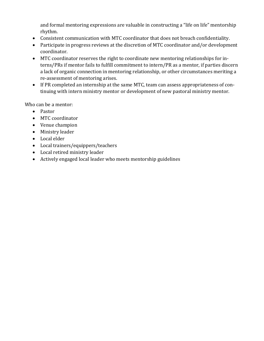and formal mentoring expressions are valuable in constructing a "life on life" mentorship rhythm.

- Consistent communication with MTC coordinator that does not breach confidentiality.
- Participate in progress reviews at the discretion of MTC coordinator and/or development coordinator.
- MTC coordinator reserves the right to coordinate new mentoring relationships for interns/PRs if mentor fails to fulfill commitment to intern/PR as a mentor, if parties discern a lack of organic connection in mentoring relationship, or other circumstances meriting a re-assessment of mentoring arises.
- If PR completed an internship at the same MTC, team can assess appropriateness of continuing with intern ministry mentor or development of new pastoral ministry mentor.

Who can be a mentor:

- Pastor
- MTC coordinator
- Venue champion
- Ministry leader
- Local elder
- Local trainers/equippers/teachers
- Local retired ministry leader
- Actively engaged local leader who meets mentorship guidelines